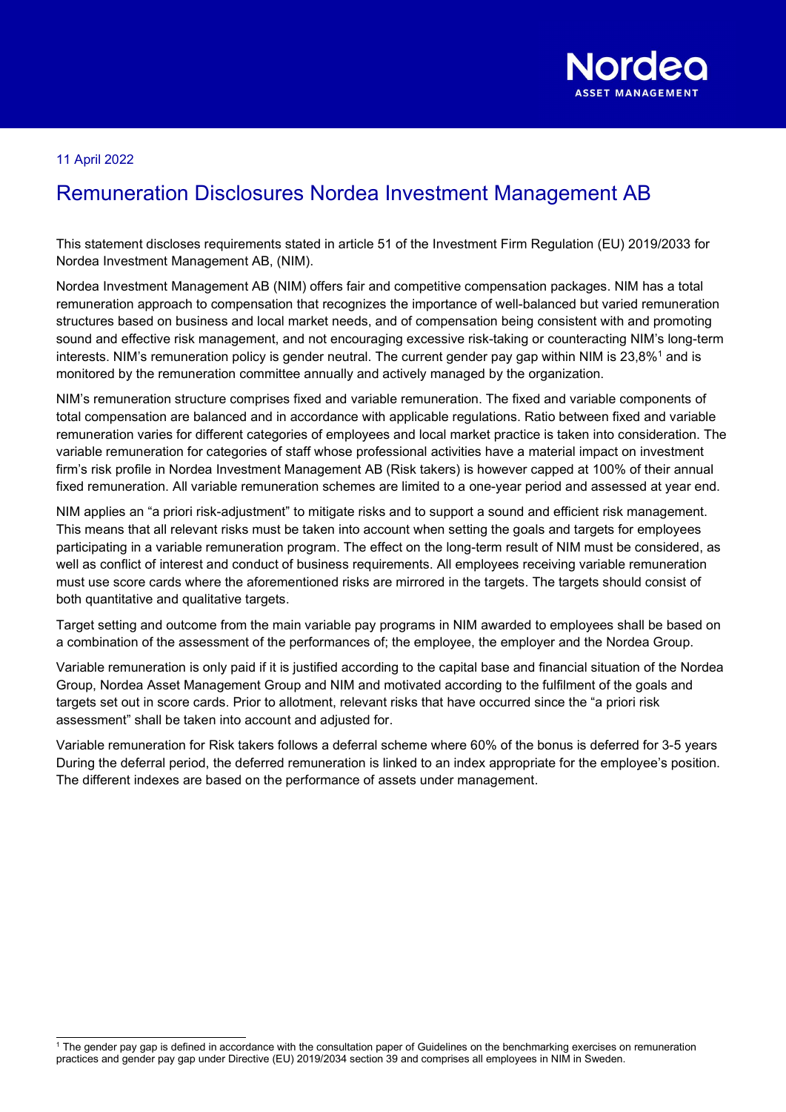

## 11 April 2022

## Remuneration Disclosures Nordea Investment Management AB

This statement discloses requirements stated in article 51 of the Investment Firm Regulation (EU) 2019/2033 for Nordea Investment Management AB, (NIM).

Nordea Investment Management AB (NIM) offers fair and competitive compensation packages. NIM has a total remuneration approach to compensation that recognizes the importance of well-balanced but varied remuneration structures based on business and local market needs, and of compensation being consistent with and promoting sound and effective risk management, and not encouraging excessive risk-taking or counteracting NIM's long-term interests. NIM's remuneration policy is gender neutral. The current gender pay gap within NIM is  $23,8\%$ <sup>1</sup> and is monitored by the remuneration committee annually and actively managed by the organization.

NIM's remuneration structure comprises fixed and variable remuneration. The fixed and variable components of total compensation are balanced and in accordance with applicable regulations. Ratio between fixed and variable remuneration varies for different categories of employees and local market practice is taken into consideration. The variable remuneration for categories of staff whose professional activities have a material impact on investment firm's risk profile in Nordea Investment Management AB (Risk takers) is however capped at 100% of their annual fixed remuneration. All variable remuneration schemes are limited to a one-year period and assessed at year end.

NIM applies an "a priori risk-adjustment" to mitigate risks and to support a sound and efficient risk management. This means that all relevant risks must be taken into account when setting the goals and targets for employees participating in a variable remuneration program. The effect on the long-term result of NIM must be considered, as well as conflict of interest and conduct of business requirements. All employees receiving variable remuneration must use score cards where the aforementioned risks are mirrored in the targets. The targets should consist of both quantitative and qualitative targets.

Target setting and outcome from the main variable pay programs in NIM awarded to employees shall be based on a combination of the assessment of the performances of; the employee, the employer and the Nordea Group.

Variable remuneration is only paid if it is justified according to the capital base and financial situation of the Nordea Group, Nordea Asset Management Group and NIM and motivated according to the fulfilment of the goals and targets set out in score cards. Prior to allotment, relevant risks that have occurred since the "a priori risk assessment" shall be taken into account and adjusted for.

Variable remuneration for Risk takers follows a deferral scheme where 60% of the bonus is deferred for 3-5 years During the deferral period, the deferred remuneration is linked to an index appropriate for the employee's position. The different indexes are based on the performance of assets under management.

<sup>1</sup> The gender pay gap is defined in accordance with the consultation paper of Guidelines on the benchmarking exercises on remuneration practices and gender pay gap under Directive (EU) 2019/2034 section 39 and comprises all employees in NIM in Sweden.